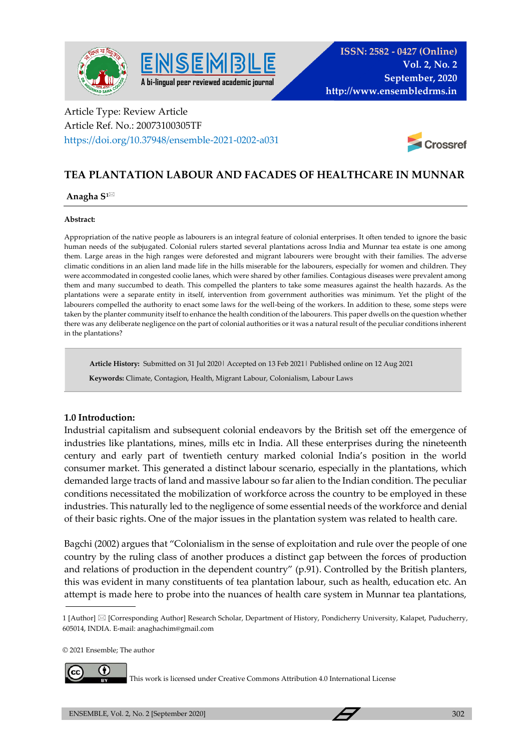



# Article Type: Review Article Article Ref. No.: 20073100305TF https://doi.org/10.37948/ensemble-2021-0202-a031



# **TEA PLANTATION LABOUR AND FACADES OF HEALTHCARE IN MUNNAR**

### **Anagha S1**

### **Abstract:**

Appropriation of the native people as labourers is an integral feature of colonial enterprises. It often tended to ignore the basic human needs of the subjugated. Colonial rulers started several plantations across India and Munnar tea estate is one among them. Large areas in the high ranges were deforested and migrant labourers were brought with their families. The adverse climatic conditions in an alien land made life in the hills miserable for the labourers, especially for women and children. They were accommodated in congested coolie lanes, which were shared by other families. Contagious diseases were prevalent among them and many succumbed to death. This compelled the planters to take some measures against the health hazards. As the plantations were a separate entity in itself, intervention from government authorities was minimum. Yet the plight of the labourers compelled the authority to enact some laws for the well-being of the workers. In addition to these, some steps were taken by the planter community itself to enhance the health condition of the labourers. This paper dwells on the question whether there was any deliberate negligence on the part of colonial authorities or it was a natural result of the peculiar conditions inherent in the plantations?

**Article History:** Submitted on 31 Jul 2020| Accepted on 13 Feb 2021| Published online on 12 Aug 2021

 **Keywords:** Climate, Contagion, Health, Migrant Labour, Colonialism, Labour Laws

## **1.0 Introduction:**

Industrial capitalism and subsequent colonial endeavors by the British set off the emergence of industries like plantations, mines, mills etc in India. All these enterprises during the nineteenth century and early part of twentieth century marked colonial India's position in the world consumer market. This generated a distinct labour scenario, especially in the plantations, which demanded large tracts of land and massive labour so far alien to the Indian condition. The peculiar conditions necessitated the mobilization of workforce across the country to be employed in these industries. This naturally led to the negligence of some essential needs of the workforce and denial of their basic rights. One of the major issues in the plantation system was related to health care.

Bagchi (2002) argues that "Colonialism in the sense of exploitation and rule over the people of one country by the ruling class of another produces a distinct gap between the forces of production and relations of production in the dependent country" (p.91). Controlled by the British planters, this was evident in many constituents of tea plantation labour, such as health, education etc. An attempt is made here to probe into the nuances of health care system in Munnar tea plantations,

© 2021 Ensemble; The author



This work is licensed under Creative Commons Attribution 4.0 International License

<sup>1 [</sup>Author] [Corresponding Author] Research Scholar, Department of History, Pondicherry University, Kalapet, Puducherry, 605014, INDIA. E-mail: anaghachim@gmail.com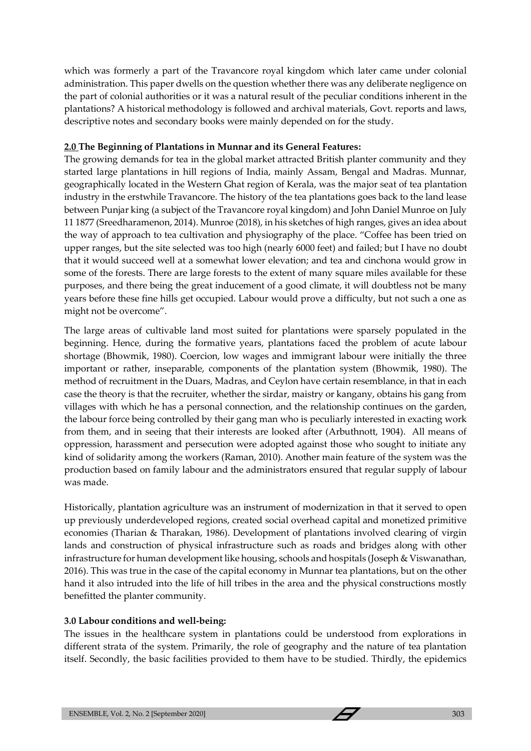which was formerly a part of the Travancore royal kingdom which later came under colonial administration. This paper dwells on the question whether there was any deliberate negligence on the part of colonial authorities or it was a natural result of the peculiar conditions inherent in the plantations? A historical methodology is followed and archival materials, Govt. reports and laws, descriptive notes and secondary books were mainly depended on for the study.

# **2.0 The Beginning of Plantations in Munnar and its General Features:**

The growing demands for tea in the global market attracted British planter community and they started large plantations in hill regions of India, mainly Assam, Bengal and Madras. Munnar, geographically located in the Western Ghat region of Kerala, was the major seat of tea plantation industry in the erstwhile Travancore. The history of the tea plantations goes back to the land lease between Punjar king (a subject of the Travancore royal kingdom) and John Daniel Munroe on July 11 1877 (Sreedharamenon, 2014). Munroe (2018), in his sketches of high ranges, gives an idea about the way of approach to tea cultivation and physiography of the place. "Coffee has been tried on upper ranges, but the site selected was too high (nearly 6000 feet) and failed; but I have no doubt that it would succeed well at a somewhat lower elevation; and tea and cinchona would grow in some of the forests. There are large forests to the extent of many square miles available for these purposes, and there being the great inducement of a good climate, it will doubtless not be many years before these fine hills get occupied. Labour would prove a difficulty, but not such a one as might not be overcome".

The large areas of cultivable land most suited for plantations were sparsely populated in the beginning. Hence, during the formative years, plantations faced the problem of acute labour shortage (Bhowmik, 1980). Coercion, low wages and immigrant labour were initially the three important or rather, inseparable, components of the plantation system (Bhowmik, 1980). The method of recruitment in the Duars, Madras, and Ceylon have certain resemblance, in that in each case the theory is that the recruiter, whether the sirdar, maistry or kangany, obtains his gang from villages with which he has a personal connection, and the relationship continues on the garden, the labour force being controlled by their gang man who is peculiarly interested in exacting work from them, and in seeing that their interests are looked after (Arbuthnott, 1904). All means of oppression, harassment and persecution were adopted against those who sought to initiate any kind of solidarity among the workers (Raman, 2010). Another main feature of the system was the production based on family labour and the administrators ensured that regular supply of labour was made.

Historically, plantation agriculture was an instrument of modernization in that it served to open up previously underdeveloped regions, created social overhead capital and monetized primitive economies (Tharian & Tharakan, 1986). Development of plantations involved clearing of virgin lands and construction of physical infrastructure such as roads and bridges along with other infrastructure for human development like housing, schools and hospitals (Joseph & Viswanathan, 2016). This was true in the case of the capital economy in Munnar tea plantations, but on the other hand it also intruded into the life of hill tribes in the area and the physical constructions mostly benefitted the planter community.

# **3.0 Labour conditions and well-being:**

The issues in the healthcare system in plantations could be understood from explorations in different strata of the system. Primarily, the role of geography and the nature of tea plantation itself. Secondly, the basic facilities provided to them have to be studied. Thirdly, the epidemics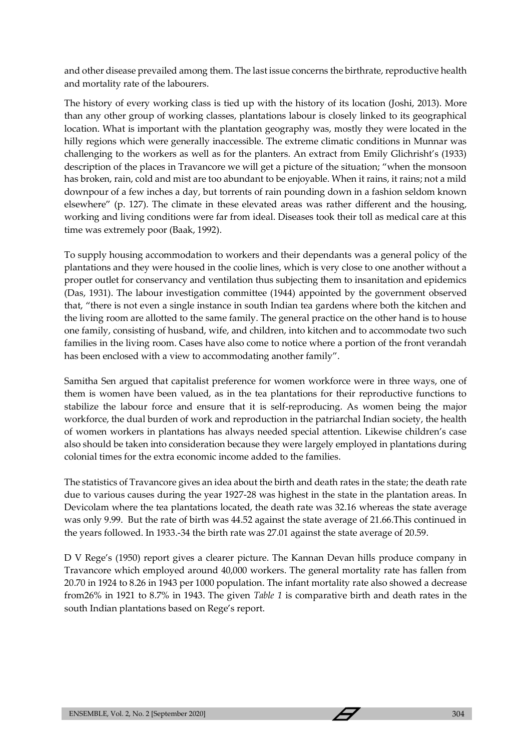and other disease prevailed among them. The last issue concerns the birthrate, reproductive health and mortality rate of the labourers.

The history of every working class is tied up with the history of its location (Joshi, 2013). More than any other group of working classes, plantations labour is closely linked to its geographical location. What is important with the plantation geography was, mostly they were located in the hilly regions which were generally inaccessible. The extreme climatic conditions in Munnar was challenging to the workers as well as for the planters. An extract from Emily Glichrisht's (1933) description of the places in Travancore we will get a picture of the situation; "when the monsoon has broken, rain, cold and mist are too abundant to be enjoyable. When it rains, it rains; not a mild downpour of a few inches a day, but torrents of rain pounding down in a fashion seldom known elsewhere" (p. 127). The climate in these elevated areas was rather different and the housing, working and living conditions were far from ideal. Diseases took their toll as medical care at this time was extremely poor (Baak, 1992).

To supply housing accommodation to workers and their dependants was a general policy of the plantations and they were housed in the coolie lines, which is very close to one another without a proper outlet for conservancy and ventilation thus subjecting them to insanitation and epidemics (Das, 1931). The labour investigation committee (1944) appointed by the government observed that, "there is not even a single instance in south Indian tea gardens where both the kitchen and the living room are allotted to the same family. The general practice on the other hand is to house one family, consisting of husband, wife, and children, into kitchen and to accommodate two such families in the living room. Cases have also come to notice where a portion of the front verandah has been enclosed with a view to accommodating another family".

Samitha Sen argued that capitalist preference for women workforce were in three ways, one of them is women have been valued, as in the tea plantations for their reproductive functions to stabilize the labour force and ensure that it is self-reproducing. As women being the major workforce, the dual burden of work and reproduction in the patriarchal Indian society, the health of women workers in plantations has always needed special attention. Likewise children's case also should be taken into consideration because they were largely employed in plantations during colonial times for the extra economic income added to the families.

The statistics of Travancore gives an idea about the birth and death rates in the state; the death rate due to various causes during the year 1927-28 was highest in the state in the plantation areas. In Devicolam where the tea plantations located, the death rate was 32.16 whereas the state average was only 9.99. But the rate of birth was 44.52 against the state average of 21.66.This continued in the years followed. In 1933.-34 the birth rate was 27.01 against the state average of 20.59.

D V Rege's (1950) report gives a clearer picture. The Kannan Devan hills produce company in Travancore which employed around 40,000 workers. The general mortality rate has fallen from 20.70 in 1924 to 8.26 in 1943 per 1000 population. The infant mortality rate also showed a decrease from26% in 1921 to 8.7% in 1943. The given *Table 1* is comparative birth and death rates in the south Indian plantations based on Rege's report.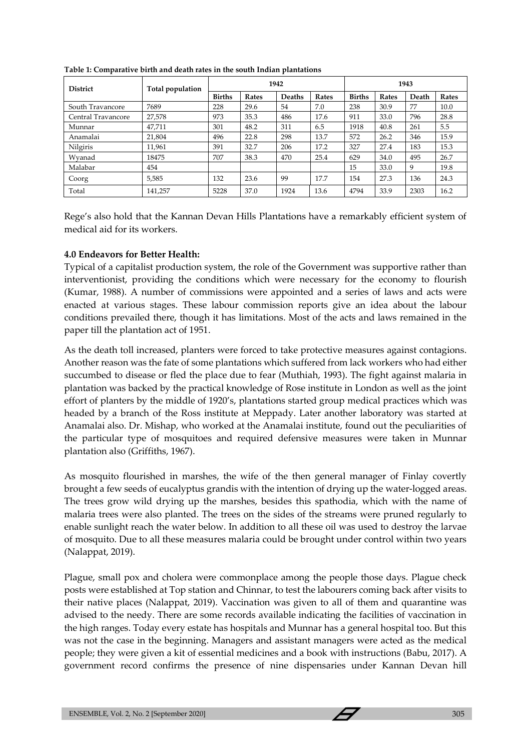| <b>District</b>    | Total population | 1942          |       |               |       | 1943          |              |       |       |
|--------------------|------------------|---------------|-------|---------------|-------|---------------|--------------|-------|-------|
|                    |                  | <b>Births</b> | Rates | <b>Deaths</b> | Rates | <b>Births</b> | <b>Rates</b> | Death | Rates |
| South Travancore   | 7689             | 228           | 29.6  | 54            | 7.0   | 238           | 30.9         | 77    | 10.0  |
| Central Travancore | 27,578           | 973           | 35.3  | 486           | 17.6  | 911           | 33.0         | 796   | 28.8  |
| Munnar             | 47,711           | 301           | 48.2  | 311           | 6.5   | 1918          | 40.8         | 261   | 5.5   |
| Anamalai           | 21,804           | 496           | 22.8  | 298           | 13.7  | 572           | 26.2         | 346   | 15.9  |
| Nilgiris           | 11,961           | 391           | 32.7  | 206           | 17.2  | 327           | 27.4         | 183   | 15.3  |
| Wyanad             | 18475            | 707           | 38.3  | 470           | 25.4  | 629           | 34.0         | 495   | 26.7  |
| Malabar            | 454              |               |       |               |       | 15            | 33.0         | 9     | 19.8  |
| Coorg              | 5,585            | 132           | 23.6  | 99            | 17.7  | 154           | 27.3         | 136   | 24.3  |
| Total              | 141,257          | 5228          | 37.0  | 1924          | 13.6  | 4794          | 33.9         | 2303  | 16.2  |

**Table 1: Comparative birth and death rates in the south Indian plantations**

Rege's also hold that the Kannan Devan Hills Plantations have a remarkably efficient system of medical aid for its workers.

## **4.0 Endeavors for Better Health:**

Typical of a capitalist production system, the role of the Government was supportive rather than interventionist, providing the conditions which were necessary for the economy to flourish (Kumar, 1988). A number of commissions were appointed and a series of laws and acts were enacted at various stages. These labour commission reports give an idea about the labour conditions prevailed there, though it has limitations. Most of the acts and laws remained in the paper till the plantation act of 1951.

As the death toll increased, planters were forced to take protective measures against contagions. Another reason was the fate of some plantations which suffered from lack workers who had either succumbed to disease or fled the place due to fear (Muthiah, 1993). The fight against malaria in plantation was backed by the practical knowledge of Rose institute in London as well as the joint effort of planters by the middle of 1920's, plantations started group medical practices which was headed by a branch of the Ross institute at Meppady. Later another laboratory was started at Anamalai also. Dr. Mishap, who worked at the Anamalai institute, found out the peculiarities of the particular type of mosquitoes and required defensive measures were taken in Munnar plantation also (Griffiths, 1967).

As mosquito flourished in marshes, the wife of the then general manager of Finlay covertly brought a few seeds of eucalyptus grandis with the intention of drying up the water-logged areas. The trees grow wild drying up the marshes, besides this spathodia, which with the name of malaria trees were also planted. The trees on the sides of the streams were pruned regularly to enable sunlight reach the water below. In addition to all these oil was used to destroy the larvae of mosquito. Due to all these measures malaria could be brought under control within two years (Nalappat, 2019).

Plague, small pox and cholera were commonplace among the people those days. Plague check posts were established at Top station and Chinnar, to test the labourers coming back after visits to their native places (Nalappat, 2019). Vaccination was given to all of them and quarantine was advised to the needy. There are some records available indicating the facilities of vaccination in the high ranges. Today every estate has hospitals and Munnar has a general hospital too. But this was not the case in the beginning. Managers and assistant managers were acted as the medical people; they were given a kit of essential medicines and a book with instructions (Babu, 2017). A government record confirms the presence of nine dispensaries under Kannan Devan hill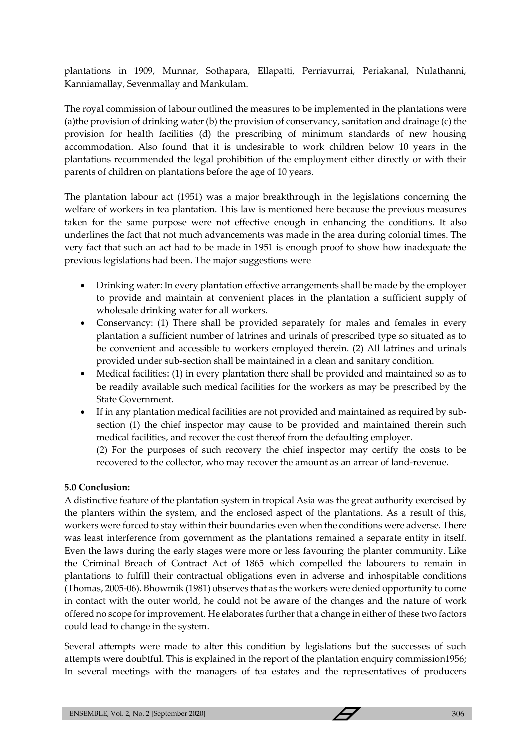plantations in 1909, Munnar, Sothapara, Ellapatti, Perriavurrai, Periakanal, Nulathanni, Kanniamallay, Sevenmallay and Mankulam.

The royal commission of labour outlined the measures to be implemented in the plantations were (a)the provision of drinking water (b) the provision of conservancy, sanitation and drainage (c) the provision for health facilities (d) the prescribing of minimum standards of new housing accommodation. Also found that it is undesirable to work children below 10 years in the plantations recommended the legal prohibition of the employment either directly or with their parents of children on plantations before the age of 10 years.

The plantation labour act (1951) was a major breakthrough in the legislations concerning the welfare of workers in tea plantation. This law is mentioned here because the previous measures taken for the same purpose were not effective enough in enhancing the conditions. It also underlines the fact that not much advancements was made in the area during colonial times. The very fact that such an act had to be made in 1951 is enough proof to show how inadequate the previous legislations had been. The major suggestions were

- Drinking water: In every plantation effective arrangements shall be made by the employer to provide and maintain at convenient places in the plantation a sufficient supply of wholesale drinking water for all workers.
- Conservancy: (1) There shall be provided separately for males and females in every plantation a sufficient number of latrines and urinals of prescribed type so situated as to be convenient and accessible to workers employed therein. (2) All latrines and urinals provided under sub-section shall be maintained in a clean and sanitary condition.
- Medical facilities: (1) in every plantation there shall be provided and maintained so as to be readily available such medical facilities for the workers as may be prescribed by the State Government.
- If in any plantation medical facilities are not provided and maintained as required by subsection (1) the chief inspector may cause to be provided and maintained therein such medical facilities, and recover the cost thereof from the defaulting employer.

(2) For the purposes of such recovery the chief inspector may certify the costs to be recovered to the collector, who may recover the amount as an arrear of land-revenue.

## **5.0 Conclusion:**

A distinctive feature of the plantation system in tropical Asia was the great authority exercised by the planters within the system, and the enclosed aspect of the plantations. As a result of this, workers were forced to stay within their boundaries even when the conditions were adverse. There was least interference from government as the plantations remained a separate entity in itself. Even the laws during the early stages were more or less favouring the planter community. Like the Criminal Breach of Contract Act of 1865 which compelled the labourers to remain in plantations to fulfill their contractual obligations even in adverse and inhospitable conditions (Thomas, 2005-06). Bhowmik (1981) observes that as the workers were denied opportunity to come in contact with the outer world, he could not be aware of the changes and the nature of work offered no scope for improvement. He elaborates further that a change in either of these two factors could lead to change in the system.

Several attempts were made to alter this condition by legislations but the successes of such attempts were doubtful. This is explained in the report of the plantation enquiry commission1956; In several meetings with the managers of tea estates and the representatives of producers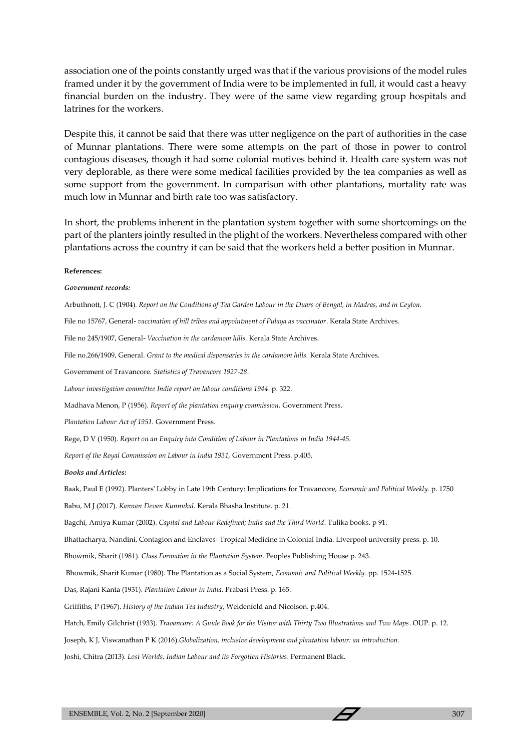association one of the points constantly urged was that if the various provisions of the model rules framed under it by the government of India were to be implemented in full, it would cast a heavy financial burden on the industry. They were of the same view regarding group hospitals and latrines for the workers.

Despite this, it cannot be said that there was utter negligence on the part of authorities in the case of Munnar plantations. There were some attempts on the part of those in power to control contagious diseases, though it had some colonial motives behind it. Health care system was not very deplorable, as there were some medical facilities provided by the tea companies as well as some support from the government. In comparison with other plantations, mortality rate was much low in Munnar and birth rate too was satisfactory.

In short, the problems inherent in the plantation system together with some shortcomings on the part of the planters jointly resulted in the plight of the workers. Nevertheless compared with other plantations across the country it can be said that the workers held a better position in Munnar.

#### **References:**

### *Government records:*

Arbuthnott, J. C (1904). *Report on the Conditions of Tea Garden Labour in the Duars of Bengal, in Madras, and in Ceylon.* 

File no 15767, General- *vaccination of hill tribes and appointment of Pulaya as vaccinator*. Kerala State Archives.

File no 245/1907, General- *Vaccination in the cardamom hills.* Kerala State Archives.

File no.266/1909, General. *Grant to the medical dispensaries in the cardamom hills.* Kerala State Archives.

Government of Travancore. *Statistics of Travancore 1927-28*.

*Labour investigation committee India report on labour conditions 1944*. p. 322.

Madhava Menon, P (1956). *Report of the plantation enquiry commission*. Government Press.

*Plantation Labour Act of 1951.* Government Press.

Rege, D V (1950)*. Report on an Enquiry into Condition of Labour in Plantations in India 1944-45.*

*Report of the Royal Commission on Labour in India 1931,* Government Press. p.405.

#### *Books and Articles:*

Baak, Paul E (1992). Planters' Lobby in Late 19th Century: Implications for Travancore, *Economic and Political Weekly.* p. 1750

Babu, M J (2017). *Kannan Devan Kunnukal*. Kerala Bhasha Institute. p. 21.

Bagchi, Amiya Kumar (2002). *Capital and Labour Redefined; India and the Third World*. Tulika books. p 91.

Bhattacharya, Nandini. Contagion and Enclaves- Tropical Medicine in Colonial India. Liverpool university press. p. 10.

Bhowmik, Sharit (1981). *Class Formation in the Plantation System*. Peoples Publishing House p. 243.

Bhowmik, Sharit Kumar (1980). The Plantation as a Social System, *Economic and Political Weekly.* pp. 1524-1525.

Das, Rajani Kanta (1931). *Plantation Labour in India*. Prabasi Press. p. 165.

Griffiths, P (1967). *History of the Indian Tea Industry*, Weidenfeld and Nicolson. p.404.

Hatch, Emily Gilchrist (1933). *Travancore: A Guide Book for the Visitor with Thirty Two Illustrations and Two Maps*. OUP. p. 12.

Joseph, K J, Viswanathan P K (2016).*Globalization, inclusive development and plantation labour: an introduction.*

Joshi, Chitra (2013). *Lost Worlds, Indian Labour and its Forgotten Histories*. Permanent Black.